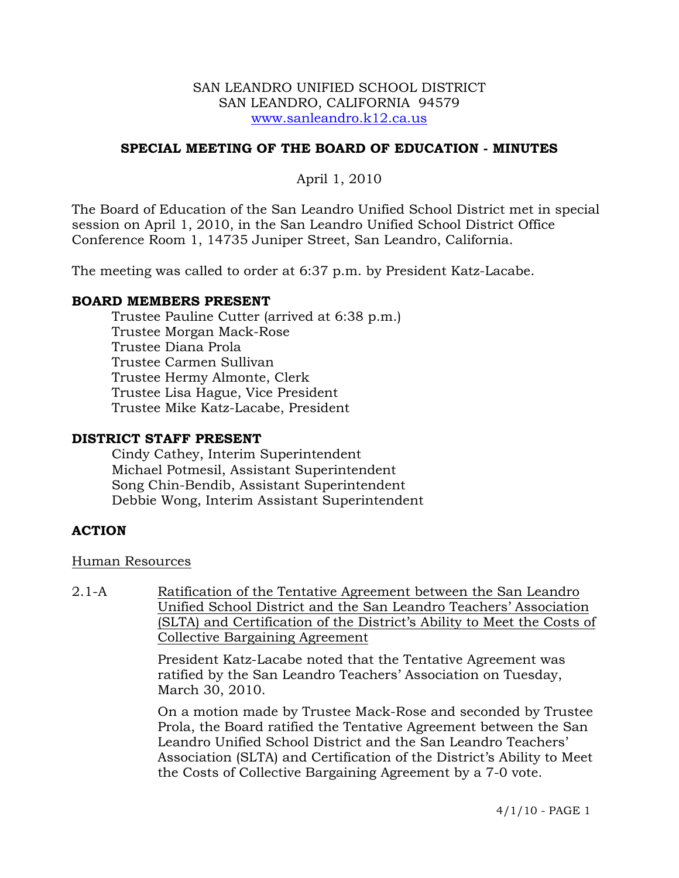#### SAN LEANDRO UNIFIED SCHOOL DISTRICT SAN LEANDRO, CALIFORNIA 94579 www.sanleandro.k12.ca.us

## **SPECIAL MEETING OF THE BOARD OF EDUCATION - MINUTES**

April 1, 2010

The Board of Education of the San Leandro Unified School District met in special session on April 1, 2010, in the San Leandro Unified School District Office Conference Room 1, 14735 Juniper Street, San Leandro, California.

The meeting was called to order at 6:37 p.m. by President Katz-Lacabe.

### **BOARD MEMBERS PRESENT**

Trustee Pauline Cutter (arrived at 6:38 p.m.) Trustee Morgan Mack-Rose Trustee Diana Prola Trustee Carmen Sullivan Trustee Hermy Almonte, Clerk Trustee Lisa Hague, Vice President Trustee Mike Katz-Lacabe, President

## **DISTRICT STAFF PRESENT**

Cindy Cathey, Interim Superintendent Michael Potmesil, Assistant Superintendent Song Chin-Bendib, Assistant Superintendent Debbie Wong, Interim Assistant Superintendent

## **ACTION**

#### Human Resources

2.1-A Ratification of the Tentative Agreement between the San Leandro Unified School District and the San Leandro Teachers' Association (SLTA) and Certification of the District's Ability to Meet the Costs of Collective Bargaining Agreement

> President Katz-Lacabe noted that the Tentative Agreement was ratified by the San Leandro Teachers' Association on Tuesday, March 30, 2010.

On a motion made by Trustee Mack-Rose and seconded by Trustee Prola, the Board ratified the Tentative Agreement between the San Leandro Unified School District and the San Leandro Teachers' Association (SLTA) and Certification of the District's Ability to Meet the Costs of Collective Bargaining Agreement by a 7-0 vote.